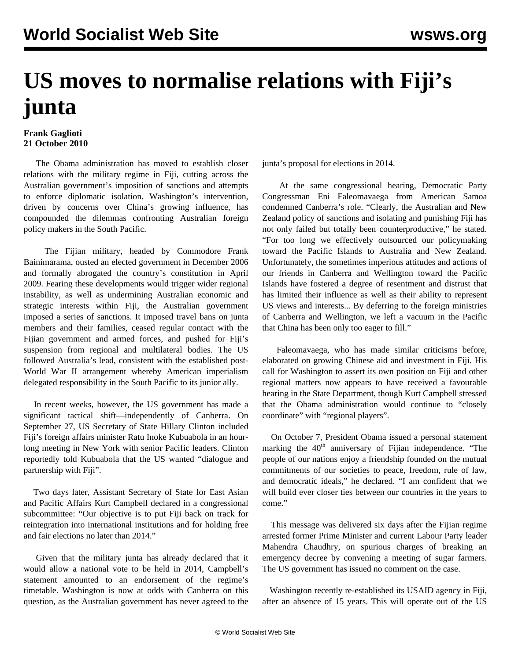## **US moves to normalise relations with Fiji's junta**

## **Frank Gaglioti 21 October 2010**

 The Obama administration has moved to establish closer relations with the military regime in Fiji, cutting across the Australian government's imposition of sanctions and attempts to enforce diplomatic isolation. Washington's intervention, driven by concerns over China's growing influence, has compounded the dilemmas confronting Australian foreign policy makers in the South Pacific.

 The Fijian military, headed by Commodore Frank Bainimarama, ousted an elected government in December 2006 and formally abrogated the country's constitution in April 2009. Fearing these developments would trigger wider regional instability, as well as undermining Australian economic and strategic interests within Fiji, the Australian government imposed a series of sanctions. It imposed travel bans on junta members and their families, ceased regular contact with the Fijian government and armed forces, and pushed for Fiji's suspension from regional and multilateral bodies. The US followed Australia's lead, consistent with the established post-World War II arrangement whereby American imperialism delegated responsibility in the South Pacific to its junior ally.

 In recent weeks, however, the US government has made a significant tactical shift—independently of Canberra. On September 27, US Secretary of State Hillary Clinton included Fiji's foreign affairs minister Ratu Inoke Kubuabola in an hourlong meeting in New York with senior Pacific leaders. Clinton reportedly told Kubuabola that the US wanted "dialogue and partnership with Fiji".

 Two days later, Assistant Secretary of State for East Asian and Pacific Affairs Kurt Campbell declared in a congressional subcommittee: "Our objective is to put Fiji back on track for reintegration into international institutions and for holding free and fair elections no later than 2014."

 Given that the military junta has already declared that it would allow a national vote to be held in 2014, Campbell's statement amounted to an endorsement of the regime's timetable. Washington is now at odds with Canberra on this question, as the Australian government has never agreed to the junta's proposal for elections in 2014.

 At the same congressional hearing, Democratic Party Congressman Eni Faleomavaega from American Samoa condemned Canberra's role. "Clearly, the Australian and New Zealand policy of sanctions and isolating and punishing Fiji has not only failed but totally been counterproductive," he stated. "For too long we effectively outsourced our policymaking toward the Pacific Islands to Australia and New Zealand. Unfortunately, the sometimes imperious attitudes and actions of our friends in Canberra and Wellington toward the Pacific Islands have fostered a degree of resentment and distrust that has limited their influence as well as their ability to represent US views and interests... By deferring to the foreign ministries of Canberra and Wellington, we left a vacuum in the Pacific that China has been only too eager to fill."

 Faleomavaega, who has made similar criticisms before, elaborated on growing Chinese aid and investment in Fiji. His call for Washington to assert its own position on Fiji and other regional matters now appears to have received a favourable hearing in the State Department, though Kurt Campbell stressed that the Obama administration would continue to "closely coordinate" with "regional players".

 On October 7, President Obama issued a personal statement marking the  $40<sup>th</sup>$  anniversary of Fijian independence. "The people of our nations enjoy a friendship founded on the mutual commitments of our societies to peace, freedom, rule of law, and democratic ideals," he declared. "I am confident that we will build ever closer ties between our countries in the years to come."

 This message was delivered six days after the Fijian regime arrested former Prime Minister and current Labour Party leader Mahendra Chaudhry, on spurious charges of breaking an emergency decree by convening a meeting of sugar farmers. The US government has issued no comment on the case.

 Washington recently re-established its USAID agency in Fiji, after an absence of 15 years. This will operate out of the US